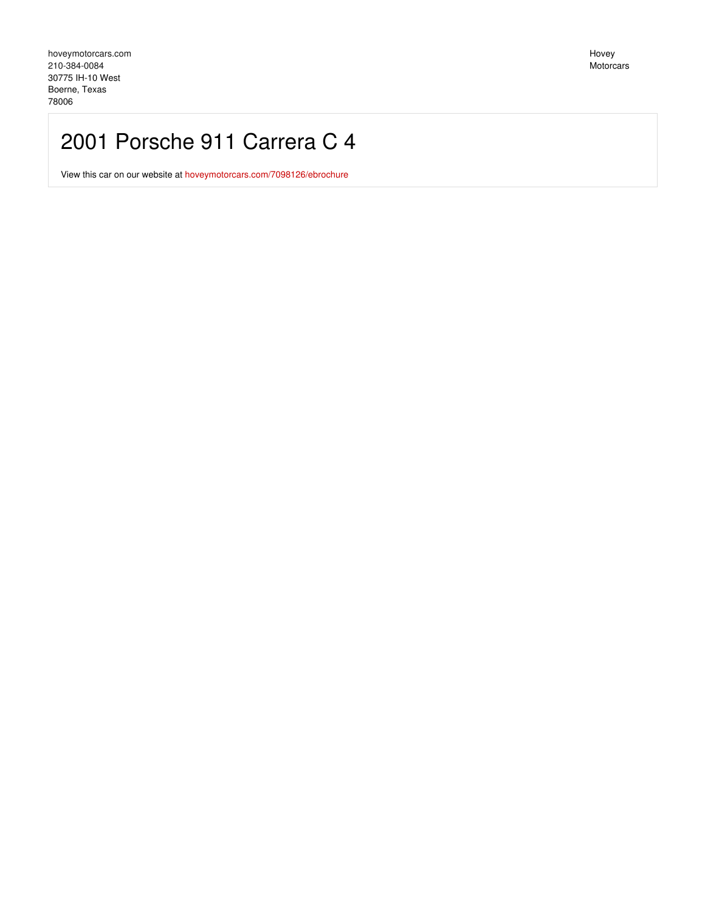# 2001 Porsche 911 Carrera C 4

View this car on our website at [hoveymotorcars.com/7098126/ebrochure](https://hoveymotorcars.com/vehicle/7098126/2001-porsche-911-carrera-c-4-boerne-texas-78006/7098126/ebrochure)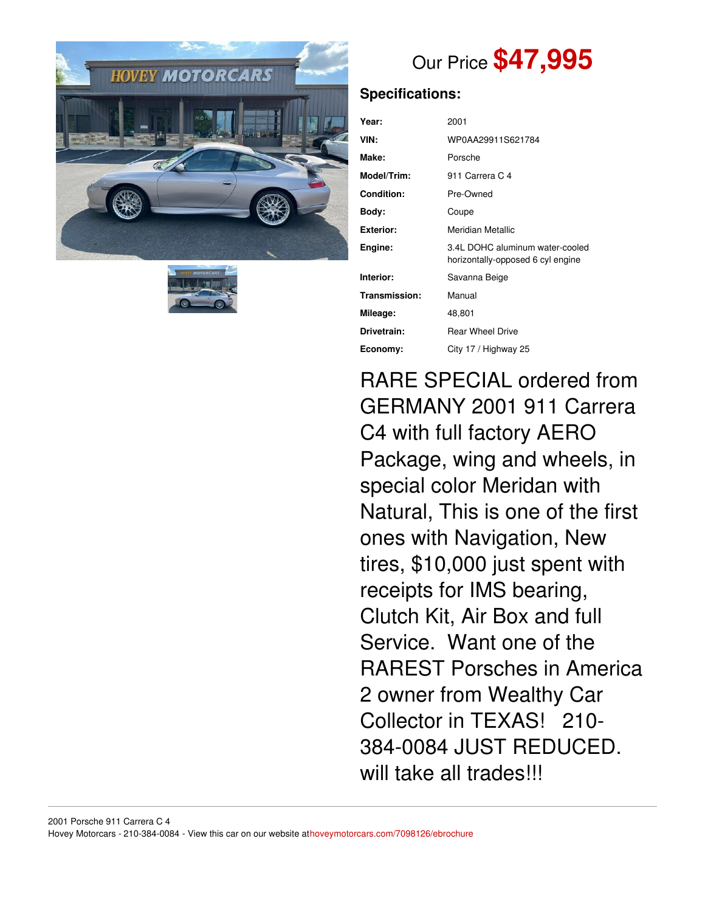



# Our Price **\$47,995**

## **Specifications:**

| Year:             | 2001                                                                 |
|-------------------|----------------------------------------------------------------------|
| VIN:              | WP0AA29911S621784                                                    |
| Make:             | Porsche                                                              |
| Model/Trim:       | 911 Carrera C 4                                                      |
| <b>Condition:</b> | Pre-Owned                                                            |
| Body:             | Coupe                                                                |
| Exterior:         | Meridian Metallic                                                    |
| Engine:           | 3.4L DOHC aluminum water-cooled<br>horizontally-opposed 6 cyl engine |
| Interior:         | Savanna Beige                                                        |
| Transmission:     | Manual                                                               |
| Mileage:          | 48,801                                                               |
| Drivetrain:       | <b>Rear Wheel Drive</b>                                              |
| Economy:          | City 17 / Highway 25                                                 |

RARE SPECIAL ordered from GERMANY 2001 911 Carrera C4 with full factory AERO Package, wing and wheels, in special color Meridan with Natural, This is one of the first ones with Navigation, New tires, \$10,000 just spent with receipts for IMS bearing, Clutch Kit, Air Box and full Service. Want one of the RAREST Porsches in America 2 owner from Wealthy Car Collector in TEXAS! 210- 384-0084 JUST REDUCED. will take all trades!!!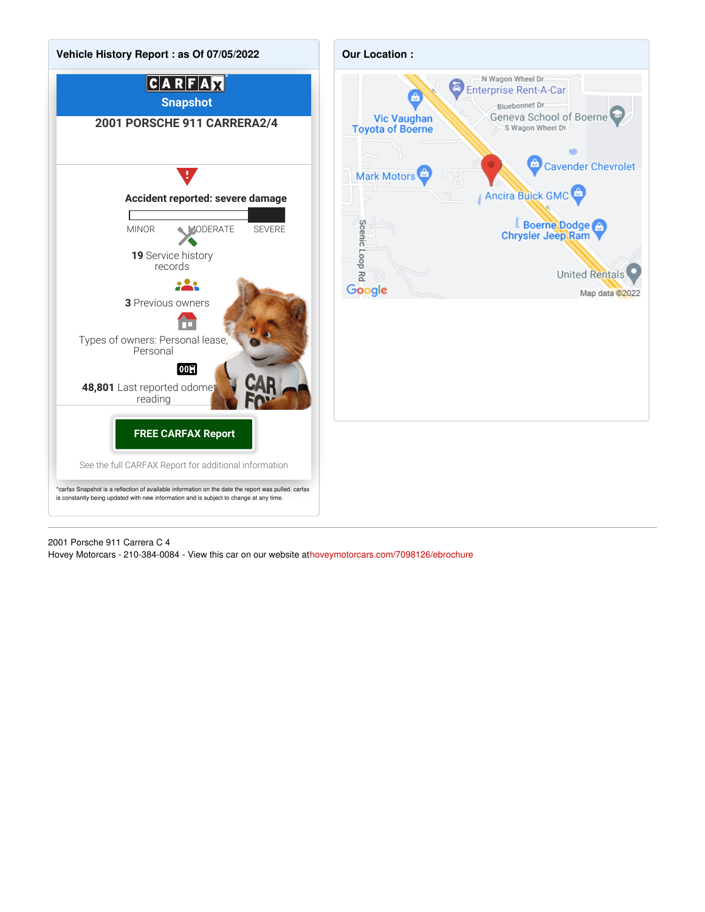

2001 Porsche 911 Carrera C 4 Hovey Motorcars - 210-384-0084 - View this car on our website at[hoveymotorcars.com/7098126/ebrochure](https://hoveymotorcars.com/vehicle/7098126/2001-porsche-911-carrera-c-4-boerne-texas-78006/7098126/ebrochure)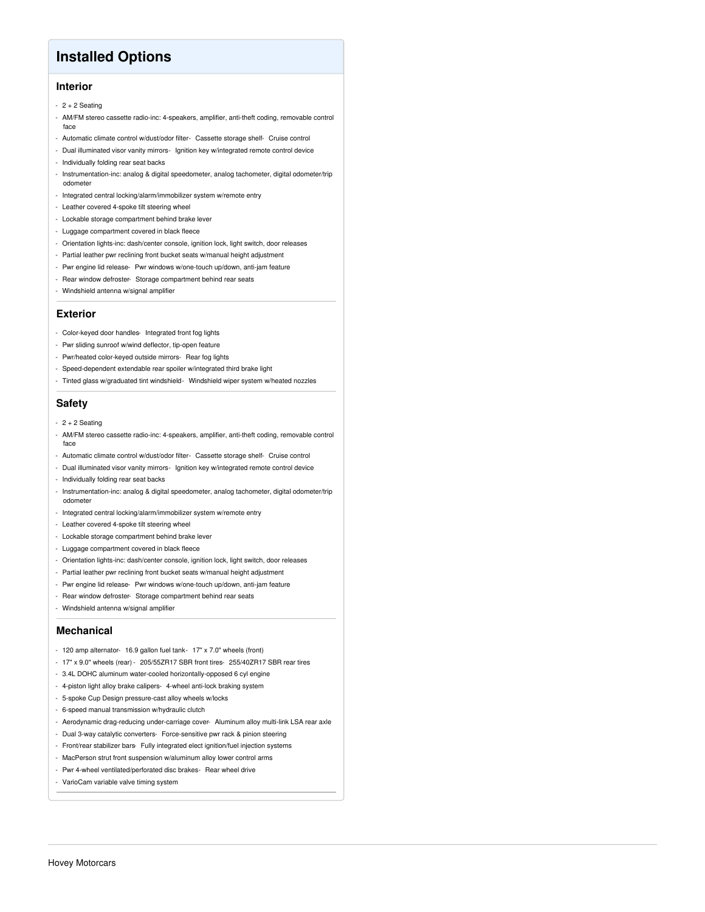## **Installed Options**

### **Interior**

- $-2 + 2$  Seating
- AM/FM stereo cassette radio-inc: 4-speakers, amplifier, anti-theft coding, removable control face
- Automatic climate control w/dust/odor filter- Cassette storage shelf- Cruise control
- Dual illuminated visor vanity mirrors- Ignition key w/integrated remote control device
- Individually folding rear seat backs
- Instrumentation-inc: analog & digital speedometer, analog tachometer, digital odometer/trip odometer
- Integrated central locking/alarm/immobilizer system w/remote entry
- Leather covered 4-spoke tilt steering wheel
- Lockable storage compartment behind brake lever
- Luggage compartment covered in black fleece
- Orientation lights-inc: dash/center console, ignition lock, light switch, door releases
- Partial leather pwr reclining front bucket seats w/manual height adjustment
- Pwr engine lid release- Pwr windows w/one-touch up/down, anti-jam feature
- Rear window defroster- Storage compartment behind rear seats
- Windshield antenna w/signal amplifier

#### **Exterior**

- Color-keyed door handles- Integrated front fog lights
- Pwr sliding sunroof w/wind deflector, tip-open feature
- Pwr/heated color-keyed outside mirrors- Rear fog lights
- Speed-dependent extendable rear spoiler w/integrated third brake light
- Tinted glass w/graduated tint windshield- Windshield wiper system w/heated nozzles

### **Safety**

- $-2 + 2$  Seating
- AM/FM stereo cassette radio-inc: 4-speakers, amplifier, anti-theft coding, removable control face
- Automatic climate control w/dust/odor filter- Cassette storage shelf- Cruise control
- Dual illuminated visor vanity mirrors- Ignition key w/integrated remote control device
- Individually folding rear seat backs
- Instrumentation-inc: analog & digital speedometer, analog tachometer, digital odometer/trip odometer
- Integrated central locking/alarm/immobilizer system w/remote entry
- Leather covered 4-spoke tilt steering wheel
- Lockable storage compartment behind brake lever
- Luggage compartment covered in black fleece
- Orientation lights-inc: dash/center console, ignition lock, light switch, door releases
- Partial leather pwr reclining front bucket seats w/manual height adjustment
- Pwr engine lid release- Pwr windows w/one-touch up/down, anti-jam feature
- Rear window defroster- Storage compartment behind rear seats
- Windshield antenna w/signal amplifier

#### **Mechanical**

- 120 amp alternator- 16.9 gallon fuel tank- 17" x 7.0" wheels (front)
- 17" x 9.0" wheels (rear) 205/55ZR17 SBR front tires- 255/40ZR17 SBR rear tires
- 3.4L DOHC aluminum water-cooled horizontally-opposed 6 cyl engine
- 4-piston light alloy brake calipers- 4-wheel anti-lock braking system
- 5-spoke Cup Design pressure-cast alloy wheels w/locks
- 6-speed manual transmission w/hydraulic clutch
- Aerodynamic drag-reducing under-carriage cover- Aluminum alloy multi-link LSA rear axle
- Dual 3-way catalytic converters- Force-sensitive pwr rack & pinion steering
- Front/rear stabilizer bars- Fully integrated elect ignition/fuel injection systems
- MacPerson strut front suspension w/aluminum alloy lower control arms
- Pwr 4-wheel ventilated/perforated disc brakes- Rear wheel drive
- VarioCam variable valve timing system